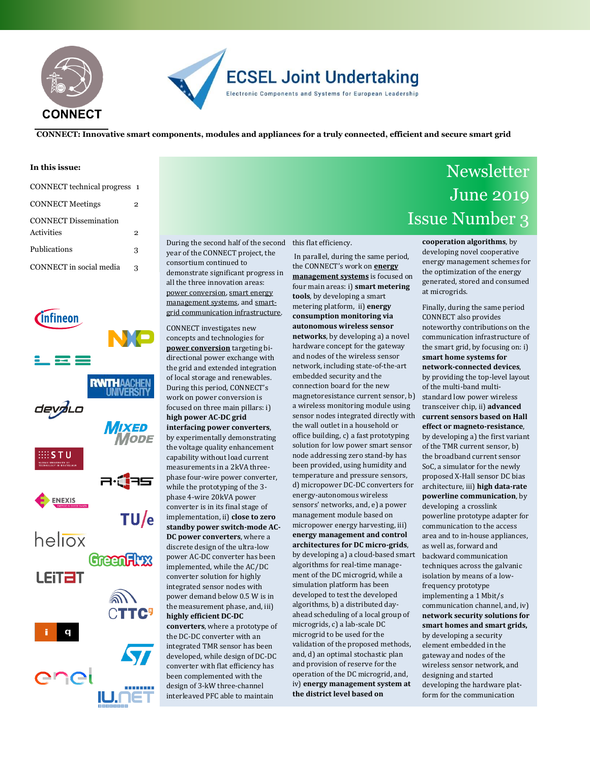



**CONNECT: Innovative smart components, modules and appliances for a truly connected, efficient and secure smart grid**

#### **In this issue:**

| CONNECT technical progress 1               |   |
|--------------------------------------------|---|
| <b>CONNECT Meetings</b>                    | 2 |
| <b>CONNECT Dissemination</b><br>Activities | 2 |
| Publications                               | 3 |
| CONNECT in social media                    | 3 |



During the second half of the second this flat efficiency. year of the CONNECT project, the consortium continued to demonstrate significant progress in all the three innovation areas: power conversion, smart energy management systems, and smartgrid communication infrastructure.

CONNECT investigates new concepts and technologies for **power conversion** targeting bidirectional power exchange with the grid and extended integration of local storage and renewables. During this period, CONNECT's work on power conversion is focused on three main pillars: i) **high power AC-DC grid interfacing power converters**, by experimentally demonstrating the voltage quality enhancement capability without load current measurements in a 2kVA threephase four-wire power converter, while the prototyping of the 3 phase 4-wire 20kVA power converter is in its final stage of implementation, ii) **close to zero standby power switch-mode AC-DC power converters**, where a discrete design of the ultra-low power AC-DC converter has been implemented, while the AC/DC converter solution for highly integrated sensor nodes with power demand below 0.5 W is in the measurement phase, and, iii) **highly efficient DC-DC converters**, where a prototype of the DC-DC converter with an integrated TMR sensor has been developed, while design of DC-DC converter with flat efficiency has been complemented with the design of 3-kW three-channel interleaved PFC able to maintain

In parallel, during the same period, the CONNECT's work on **energy management systems** is focused on four main areas: i) **smart metering tools**, by developing a smart metering platform, ii) **energy consumption monitoring via autonomous wireless sensor networks**, by developing a) a novel hardware concept for the gateway and nodes of the wireless sensor network, including state-of-the-art embedded security and the connection board for the new magnetoresistance current sensor, b) a wireless monitoring module using sensor nodes integrated directly with the wall outlet in a household or office building, c) a fast prototyping solution for low power smart sensor node addressing zero stand-by has been provided, using humidity and temperature and pressure sensors, d) micropower DC-DC converters for energy-autonomous wireless sensors' networks, and, e) a power management module based on micropower energy harvesting, iii) **energy management and control architectures for DC micro-grids**, by developing a) a cloud-based smart algorithms for real-time management of the DC microgrid, while a simulation platform has been developed to test the developed algorithms, b) a distributed dayahead scheduling of a local group of microgrids, c) a lab-scale DC microgrid to be used for the validation of the proposed methods, and, d) an optimal stochastic plan and provision of reserve for the operation of the DC microgrid, and, iv) **energy management system at the district level based on**

### **Newsletter** Newsletter June 2019 CONNECT Technical Progress Issue Number 3

**cooperation algorithms**, by developing novel cooperative energy management schemes for the optimization of the energy generated, stored and consumed at microgrids.

Finally, during the same period CONNECT also provides noteworthy contributions on the communication infrastructure of the smart grid, by focusing on: i) **smart home systems for network-connected devices**, by providing the top-level layout of the multi-band multistandard low power wireless transceiver chip, ii) **advanced current sensors based on Hall effect or magneto-resistance**, by developing a) the first variant of the TMR current sensor, b) the broadband current sensor SoC, a simulator for the newly proposed X-Hall sensor DC bias architecture, iii) **high data-rate powerline communication**, by developing a crosslink powerline prototype adapter for communication to the access area and to in-house appliances, as well as, forward and backward communication techniques across the galvanic isolation by means of a lowfrequency prototype implementing a 1 Mbit/s communication channel, and, iv) **network security solutions for smart homes and smart grids,** by developing a security element embedded in the gateway and nodes of the

wireless sensor network, and designing and started developing the hardware platform for the communication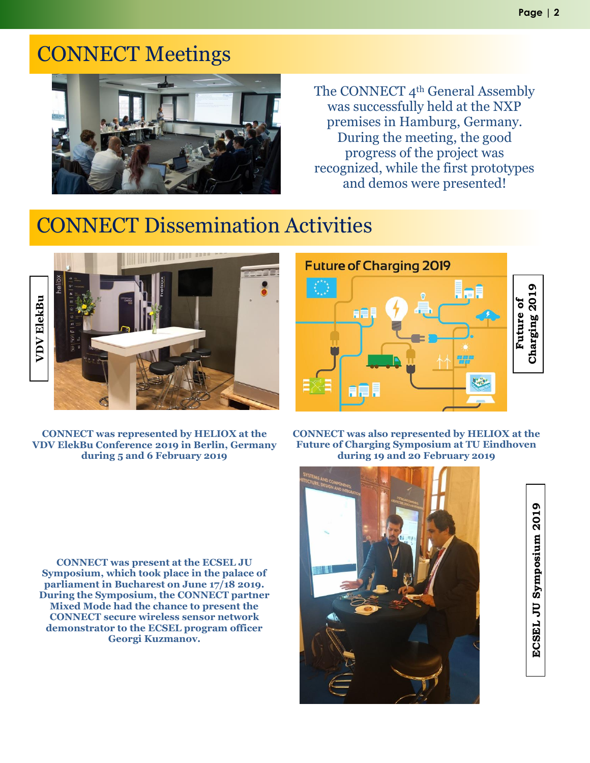# CONNECT Meetings CONNECT Meetings



The CONNECT 4<sup>th</sup> General Assembly was successfully held at the NXP premises in Hamburg, Germany. During the meeting, the good progress of the project was recognized, while the first prototypes and demos were presented!

### CONNECT Dissemination Activities



**CONNECT was represented by HELIOX at the VDV ElekBu Conference 2019 in Berlin, Germany during 5 and 6 February 2019**

**Future of Charging 2019 Future of**<br>Charging 2019 **Charging 2019**

**CONNECT was also represented by HELIOX at the Future of Charging Symposium at TU Eindhoven during 19 and 20 February 2019**

**CONNECT was present at the ECSEL JU Symposium, which took place in the palace of parliament in Bucharest on June 17/18 2019. During the Symposium, the CONNECT partner Mixed Mode had the chance to present the CONNECT secure wireless sensor network demonstrator to the ECSEL program officer Georgi Kuzmanov.**



ECSEL JU Symposium 2019 **ECSEL JU Symposium 2019**